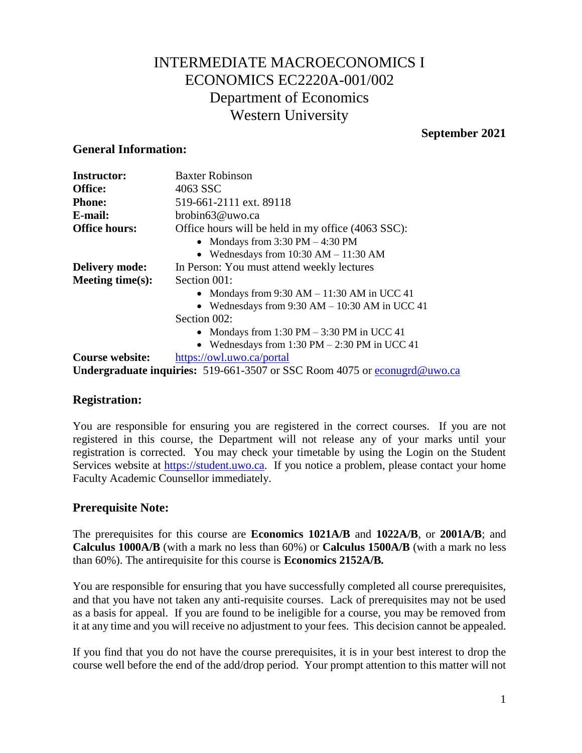# INTERMEDIATE MACROECONOMICS I ECONOMICS EC2220A-001/002 Department of Economics Western University

#### **September 2021**

#### **General Information:**

| <b>Instructor:</b>     | <b>Baxter Robinson</b>                                                           |  |  |
|------------------------|----------------------------------------------------------------------------------|--|--|
| Office:                | 4063 SSC                                                                         |  |  |
| <b>Phone:</b>          | 519-661-2111 ext. 89118                                                          |  |  |
| E-mail:                | brobin63@uwo.ca                                                                  |  |  |
| <b>Office hours:</b>   | Office hours will be held in my office (4063 SSC):                               |  |  |
|                        | • Mondays from $3:30 \text{ PM} - 4:30 \text{ PM}$                               |  |  |
|                        | • Wednesdays from $10:30$ AM $- 11:30$ AM                                        |  |  |
| <b>Delivery mode:</b>  | In Person: You must attend weekly lectures                                       |  |  |
| Meeting time $(s)$ :   | Section 001:                                                                     |  |  |
|                        | • Mondays from $9:30$ AM $- 11:30$ AM in UCC 41                                  |  |  |
|                        | • Wednesdays from $9:30$ AM $- 10:30$ AM in UCC 41                               |  |  |
|                        | Section 002:                                                                     |  |  |
|                        | • Mondays from 1:30 PM $-$ 3:30 PM in UCC 41                                     |  |  |
|                        | • Wednesdays from $1:30 \text{ PM} - 2:30 \text{ PM}$ in UCC 41                  |  |  |
| <b>Course website:</b> | https://owl.uwo.ca/portal                                                        |  |  |
|                        | <b>Undergraduate inquiries:</b> 519-661-3507 or SSC Room 4075 or econugrd@uwo.ca |  |  |

### **Registration:**

You are responsible for ensuring you are registered in the correct courses. If you are not registered in this course, the Department will not release any of your marks until your registration is corrected. You may check your timetable by using the Login on the Student Services website at [https://student.uwo.ca.](https://student.uwo.ca/) If you notice a problem, please contact your home Faculty Academic Counsellor immediately.

### **Prerequisite Note:**

The prerequisites for this course are **Economics 1021A/B** and **1022A/B**, or **2001A/B**; and **Calculus 1000A/B** (with a mark no less than 60%) or **Calculus 1500A/B** (with a mark no less than 60%). The antirequisite for this course is **Economics 2152A/B***.*

You are responsible for ensuring that you have successfully completed all course prerequisites, and that you have not taken any anti-requisite courses. Lack of prerequisites may not be used as a basis for appeal. If you are found to be ineligible for a course, you may be removed from it at any time and you will receive no adjustment to your fees. This decision cannot be appealed.

If you find that you do not have the course prerequisites, it is in your best interest to drop the course well before the end of the add/drop period. Your prompt attention to this matter will not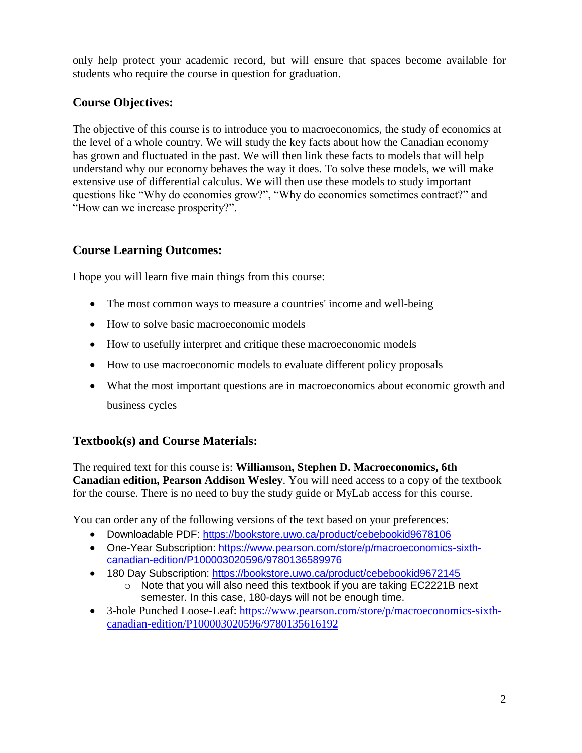only help protect your academic record, but will ensure that spaces become available for students who require the course in question for graduation.

# **Course Objectives:**

The objective of this course is to introduce you to macroeconomics, the study of economics at the level of a whole country. We will study the key facts about how the Canadian economy has grown and fluctuated in the past. We will then link these facts to models that will help understand why our economy behaves the way it does. To solve these models, we will make extensive use of differential calculus. We will then use these models to study important questions like "Why do economies grow?", "Why do economics sometimes contract?" and "How can we increase prosperity?".

# **Course Learning Outcomes:**

I hope you will learn five main things from this course:

- The most common ways to measure a countries' income and well-being
- How to solve basic macroeconomic models
- How to usefully interpret and critique these macroeconomic models
- How to use macroeconomic models to evaluate different policy proposals
- What the most important questions are in macroeconomics about economic growth and business cycles

# **Textbook(s) and Course Materials:**

The required text for this course is: **Williamson, Stephen D. Macroeconomics, 6th Canadian edition, Pearson Addison Wesley**. You will need access to a copy of the textbook for the course. There is no need to buy the study guide or MyLab access for this course.

You can order any of the following versions of the text based on your preferences:

- Downloadable PDF:<https://bookstore.uwo.ca/product/cebebookid9678106>
- One-Year Subscription: [https://www.pearson.com/store/p/macroeconomics-sixth](https://www.pearson.com/store/p/macroeconomics-sixth-canadian-edition/P100003020596/9780136589976)[canadian-edition/P100003020596/9780136589976](https://www.pearson.com/store/p/macroeconomics-sixth-canadian-edition/P100003020596/9780136589976)
- 180 Day Subscription:<https://bookstore.uwo.ca/product/cebebookid9672145>
	- o Note that you will also need this textbook if you are taking EC2221B next semester. In this case, 180-days will not be enough time.
- 3-hole Punched Loose-Leaf: [https://www.pearson.com/store/p/macroeconomics-sixth](https://www.pearson.com/store/p/macroeconomics-sixth-canadian-edition/P100003020596/9780135616192)[canadian-edition/P100003020596/9780135616192](https://www.pearson.com/store/p/macroeconomics-sixth-canadian-edition/P100003020596/9780135616192)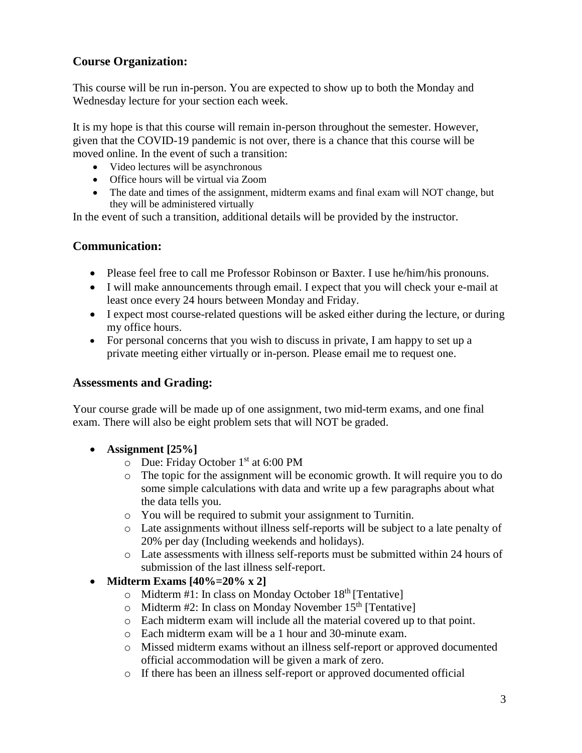# **Course Organization:**

This course will be run in-person. You are expected to show up to both the Monday and Wednesday lecture for your section each week.

It is my hope is that this course will remain in-person throughout the semester. However, given that the COVID-19 pandemic is not over, there is a chance that this course will be moved online. In the event of such a transition:

- Video lectures will be asynchronous
- Office hours will be virtual via Zoom
- The date and times of the assignment, midterm exams and final exam will NOT change, but they will be administered virtually

In the event of such a transition, additional details will be provided by the instructor.

### **Communication:**

- Please feel free to call me Professor Robinson or Baxter. I use he/him/his pronouns.
- I will make announcements through email. I expect that you will check your e-mail at least once every 24 hours between Monday and Friday.
- I expect most course-related questions will be asked either during the lecture, or during my office hours.
- For personal concerns that you wish to discuss in private, I am happy to set up a private meeting either virtually or in-person. Please email me to request one.

#### **Assessments and Grading:**

Your course grade will be made up of one assignment, two mid-term exams, and one final exam. There will also be eight problem sets that will NOT be graded.

- **Assignment [25%]**
	- o Due: Friday October 1 st at 6:00 PM
	- o The topic for the assignment will be economic growth. It will require you to do some simple calculations with data and write up a few paragraphs about what the data tells you.
	- o You will be required to submit your assignment to Turnitin.
	- o Late assignments without illness self-reports will be subject to a late penalty of 20% per day (Including weekends and holidays).
	- o Late assessments with illness self-reports must be submitted within 24 hours of submission of the last illness self-report.
- **Midterm Exams [40%=20% x 2]**
	- $\circ$  Midterm #1: In class on Monday October 18<sup>th</sup> [Tentative]
	- $\circ$  Midterm #2: In class on Monday November 15<sup>th</sup> [Tentative]
	- o Each midterm exam will include all the material covered up to that point.
	- o Each midterm exam will be a 1 hour and 30-minute exam.
	- o Missed midterm exams without an illness self-report or approved documented official accommodation will be given a mark of zero.
	- o If there has been an illness self-report or approved documented official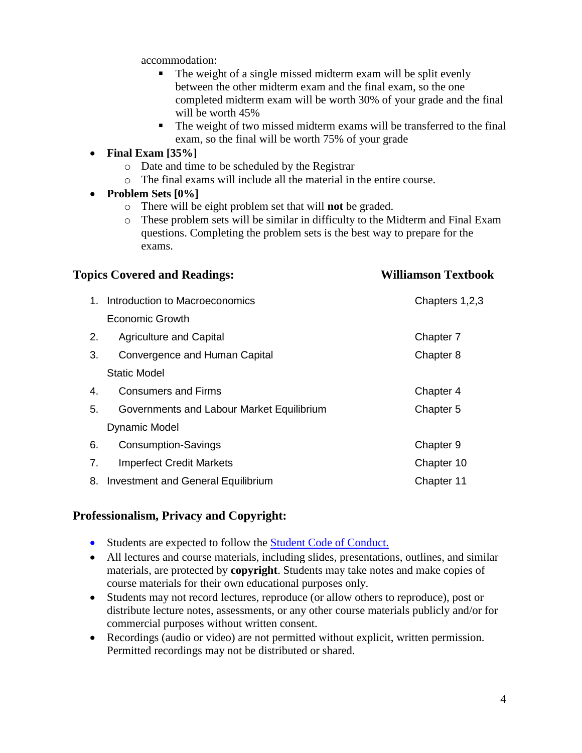accommodation:

- The weight of a single missed midterm exam will be split evenly between the other midterm exam and the final exam, so the one completed midterm exam will be worth 30% of your grade and the final will be worth 45%
- The weight of two missed midterm exams will be transferred to the final exam, so the final will be worth 75% of your grade
- **Final Exam [35%]**
	- o Date and time to be scheduled by the Registrar
	- o The final exams will include all the material in the entire course.
- **Problem Sets [0%]**
	- o There will be eight problem set that will **not** be graded.
	- o These problem sets will be similar in difficulty to the Midterm and Final Exam questions. Completing the problem sets is the best way to prepare for the exams.

| <b>Topics Covered and Readings:</b> |                                           | <b>Williamson Textbook</b> |  |
|-------------------------------------|-------------------------------------------|----------------------------|--|
| $1_{-}$                             | Introduction to Macroeconomics            | Chapters 1,2,3             |  |
|                                     | Economic Growth                           |                            |  |
| 2.                                  | <b>Agriculture and Capital</b>            | Chapter 7                  |  |
| 3.                                  | Convergence and Human Capital             | Chapter 8                  |  |
|                                     | Static Model                              |                            |  |
| 4.                                  | <b>Consumers and Firms</b>                | Chapter 4                  |  |
| 5.                                  | Governments and Labour Market Equilibrium | Chapter 5                  |  |
|                                     | Dynamic Model                             |                            |  |
| 6.                                  | <b>Consumption-Savings</b>                | Chapter 9                  |  |
| 7.                                  | <b>Imperfect Credit Markets</b>           | Chapter 10                 |  |
| 8.                                  | Investment and General Equilibrium        | Chapter 11                 |  |

### **Professionalism, Privacy and Copyright:**

- Students are expected to follow the **Student Code of Conduct.**
- All lectures and course materials, including slides, presentations, outlines, and similar materials, are protected by **copyright**. Students may take notes and make copies of course materials for their own educational purposes only.
- Students may not record lectures, reproduce (or allow others to reproduce), post or distribute lecture notes, assessments, or any other course materials publicly and/or for commercial purposes without written consent.
- Recordings (audio or video) are not permitted without explicit, written permission. Permitted recordings may not be distributed or shared.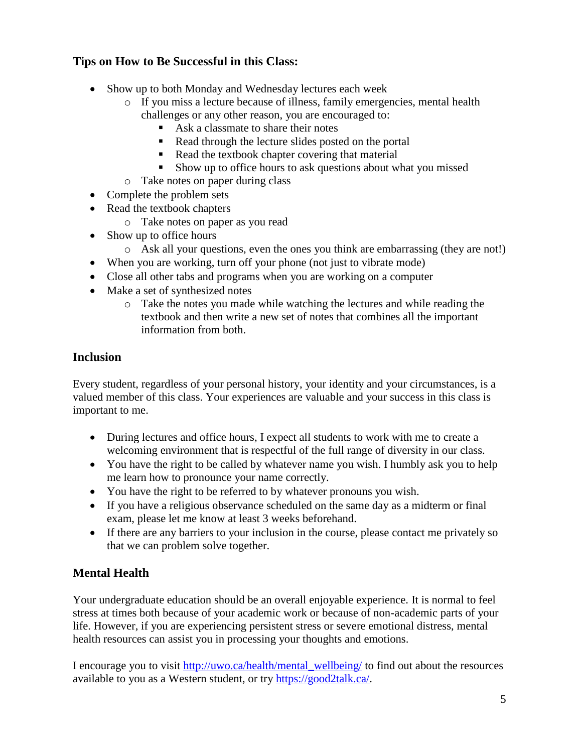# **Tips on How to Be Successful in this Class:**

- Show up to both Monday and Wednesday lectures each week
	- o If you miss a lecture because of illness, family emergencies, mental health challenges or any other reason, you are encouraged to:
		- Ask a classmate to share their notes
		- Read through the lecture slides posted on the portal
		- Read the textbook chapter covering that material
		- Show up to office hours to ask questions about what you missed
	- o Take notes on paper during class
- Complete the problem sets
- Read the textbook chapters
	- o Take notes on paper as you read
- Show up to office hours
	- o Ask all your questions, even the ones you think are embarrassing (they are not!)
- When you are working, turn off your phone (not just to vibrate mode)
- Close all other tabs and programs when you are working on a computer
- Make a set of synthesized notes
	- o Take the notes you made while watching the lectures and while reading the textbook and then write a new set of notes that combines all the important information from both.

### **Inclusion**

Every student, regardless of your personal history, your identity and your circumstances, is a valued member of this class. Your experiences are valuable and your success in this class is important to me.

- During lectures and office hours, I expect all students to work with me to create a welcoming environment that is respectful of the full range of diversity in our class.
- You have the right to be called by whatever name you wish. I humbly ask you to help me learn how to pronounce your name correctly.
- You have the right to be referred to by whatever pronouns you wish.
- If you have a religious observance scheduled on the same day as a midterm or final exam, please let me know at least 3 weeks beforehand.
- If there are any barriers to your inclusion in the course, please contact me privately so that we can problem solve together.

# **Mental Health**

Your undergraduate education should be an overall enjoyable experience. It is normal to feel stress at times both because of your academic work or because of non-academic parts of your life. However, if you are experiencing persistent stress or severe emotional distress, mental health resources can assist you in processing your thoughts and emotions.

I encourage you to visit [http://uwo.ca/health/mental\\_wellbeing/](http://uwo.ca/health/mental_wellbeing/) to find out about the resources available to you as a Western student, or try [https://good2talk.ca/.](https://good2talk.ca/)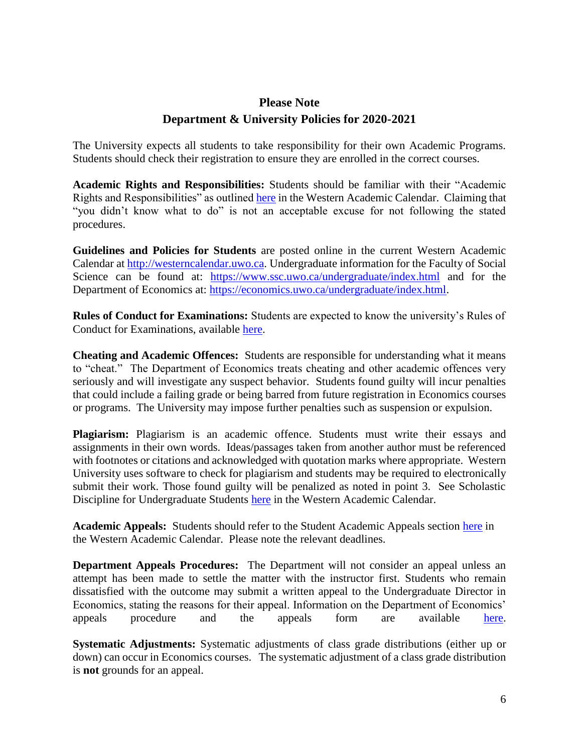# **Please Note Department & University Policies for 2020-2021**

The University expects all students to take responsibility for their own Academic Programs. Students should check their registration to ensure they are enrolled in the correct courses.

**Academic Rights and Responsibilities:** Students should be familiar with their "Academic Rights and Responsibilities" as outlined [here](http://westerncalendar.uwo.ca/PolicyPages.cfm?PolicyCategoryID=1&command=showCategory&SelectedCalendar=Live&ArchiveID=) in the Western Academic Calendar. Claiming that "you didn't know what to do" is not an acceptable excuse for not following the stated procedures.

**Guidelines and Policies for Students** are posted online in the current Western Academic Calendar at [http://westerncalendar.uwo.ca.](http://westerncalendar.uwo.ca/) Undergraduate information for the Faculty of Social Science can be found at: <https://www.ssc.uwo.ca/undergraduate/index.html> and for the Department of Economics at: [https://economics.uwo.ca/undergraduate/index.html.](https://economics.uwo.ca/undergraduate/index.html)

**Rules of Conduct for Examinations:** Students are expected to know the university's Rules of Conduct for Examinations, available [here.](http://www.uwo.ca/univsec/pdf/academic_policies/exam/administration.pdf)

**Cheating and Academic Offences:** Students are responsible for understanding what it means to "cheat." The Department of Economics treats cheating and other academic offences very seriously and will investigate any suspect behavior. Students found guilty will incur penalties that could include a failing grade or being barred from future registration in Economics courses or programs. The University may impose further penalties such as suspension or expulsion.

**Plagiarism:** Plagiarism is an academic offence. Students must write their essays and assignments in their own words. Ideas/passages taken from another author must be referenced with footnotes or citations and acknowledged with quotation marks where appropriate. Western University uses software to check for plagiarism and students may be required to electronically submit their work. Those found guilty will be penalized as noted in point 3. See Scholastic Discipline for Undergraduate Students [here](https://westerncalendar.uwo.ca/PolicyPages.cfm?Command=showCategory&PolicyCategoryID=1&SelectedCalendar=Live&ArchiveID=#Page_20) in the Western Academic Calendar.

**Academic Appeals:** Students should refer to the Student Academic Appeals section [here](http://westerncalendar.uwo.ca/PolicyPages.cfm?Command=showCategory&PolicyCategoryID=1&SelectedCalendar=Live&ArchiveID=#Page_14) in the Western Academic Calendar. Please note the relevant deadlines.

**Department Appeals Procedures:** The Department will not consider an appeal unless an attempt has been made to settle the matter with the instructor first. Students who remain dissatisfied with the outcome may submit a written appeal to the Undergraduate Director in Economics, stating the reasons for their appeal. Information on the Department of Economics' appeals procedure and the appeals form are available [here.](http://economics.uwo.ca/undergraduate/program_counselling/responsibilities_policies.html#appeals)

**Systematic Adjustments:** Systematic adjustments of class grade distributions (either up or down) can occur in Economics courses. The systematic adjustment of a class grade distribution is **not** grounds for an appeal.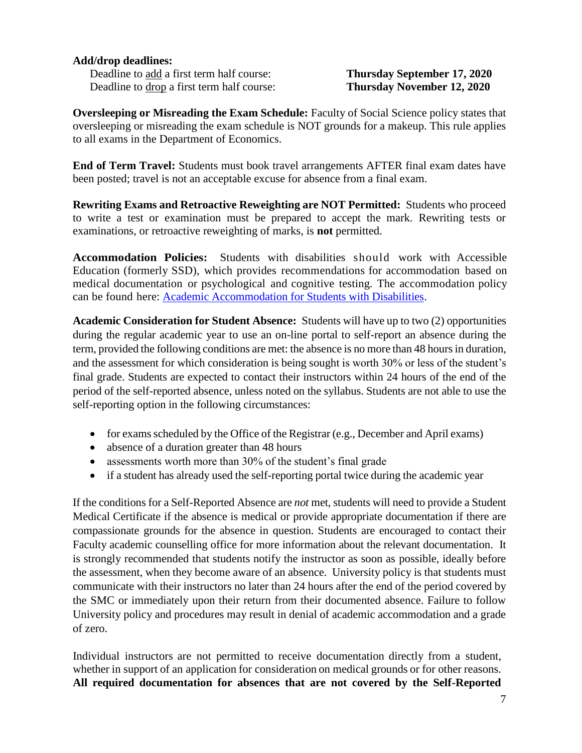#### **Add/drop deadlines:**

Deadline to add a first term half course: **Thursday September 17, 2020** Deadline to drop a first term half course: **Thursday November 12, 2020**

**Oversleeping or Misreading the Exam Schedule:** Faculty of Social Science policy states that oversleeping or misreading the exam schedule is NOT grounds for a makeup. This rule applies to all exams in the Department of Economics.

**End of Term Travel:** Students must book travel arrangements AFTER final exam dates have been posted; travel is not an acceptable excuse for absence from a final exam.

**Rewriting Exams and Retroactive Reweighting are NOT Permitted:** Students who proceed to write a test or examination must be prepared to accept the mark. Rewriting tests or examinations, or retroactive reweighting of marks, is **not** permitted.

**Accommodation Policies:** Students with disabilities should work with Accessible Education (formerly SSD), which provides recommendations for accommodation based on medical documentation or psychological and cognitive testing. The accommodation policy can be found here: [Academic Accommodation for Students with Disabilities.](https://www.uwo.ca/univsec/pdf/academic_policies/appeals/Academic%20Accommodation_disabilities.pdf)

**Academic Consideration for Student Absence:** Students will have up to two (2) opportunities during the regular academic year to use an on-line portal to self-report an absence during the term, provided the following conditions are met: the absence is no more than 48 hours in duration, and the assessment for which consideration is being sought is worth 30% or less of the student's final grade. Students are expected to contact their instructors within 24 hours of the end of the period of the self-reported absence, unless noted on the syllabus. Students are not able to use the self-reporting option in the following circumstances:

- for exams scheduled by the Office of the Registrar (e.g., December and April exams)
- absence of a duration greater than 48 hours
- assessments worth more than 30% of the student's final grade
- if a student has already used the self-reporting portal twice during the academic year

If the conditions for a Self-Reported Absence are *not* met, students will need to provide a Student Medical Certificate if the absence is medical or provide appropriate documentation if there are compassionate grounds for the absence in question. Students are encouraged to contact their Faculty academic counselling office for more information about the relevant documentation. It is strongly recommended that students notify the instructor as soon as possible, ideally before the assessment, when they become aware of an absence. University policy is that students must communicate with their instructors no later than 24 hours after the end of the period covered by the SMC or immediately upon their return from their documented absence. Failure to follow University policy and procedures may result in denial of academic accommodation and a grade of zero.

Individual instructors are not permitted to receive documentation directly from a student, whether in support of an application for consideration on medical grounds or for other reasons. **All required documentation for absences that are not covered by the Self-Reported**